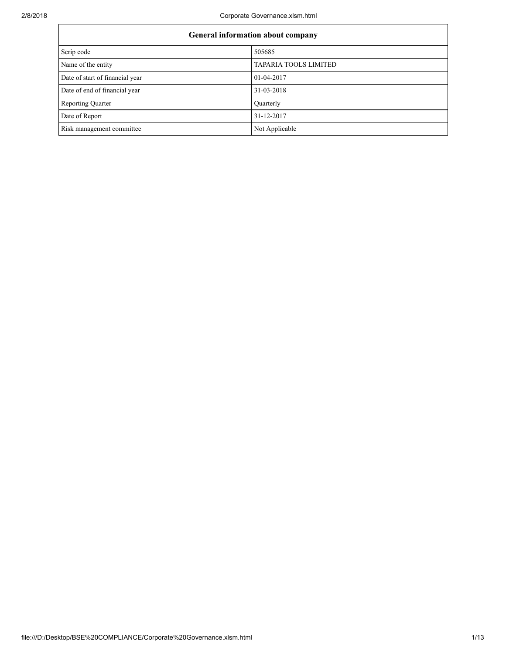| General information about company |                              |  |  |  |
|-----------------------------------|------------------------------|--|--|--|
| Scrip code                        | 505685                       |  |  |  |
| Name of the entity                | <b>TAPARIA TOOLS LIMITED</b> |  |  |  |
| Date of start of financial year   | 01-04-2017                   |  |  |  |
| Date of end of financial year     | 31-03-2018                   |  |  |  |
| Reporting Quarter                 | Quarterly                    |  |  |  |
| Date of Report                    | 31-12-2017                   |  |  |  |
| Risk management committee         | Not Applicable               |  |  |  |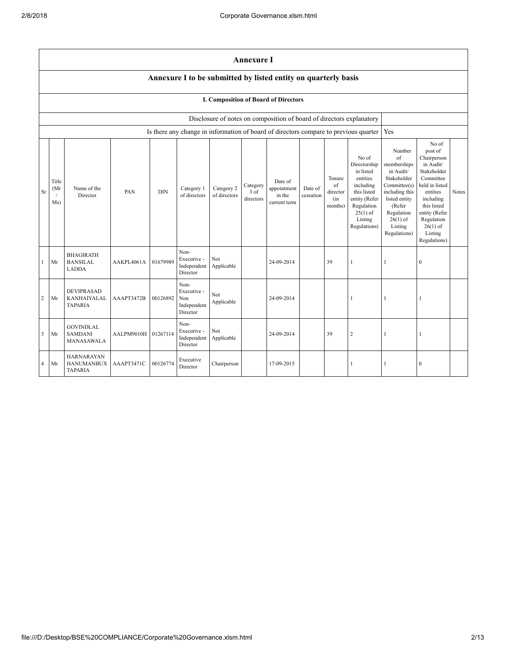|                | <b>Annexure I</b>                                                                                                                                                                                                                                                                                                                                                                                 |                                                          |                     |          |                                                                                      |                   |  |                                                                      |                                                                                                                                                                             |                                                                                                                                                                                                            |                |     |              |  |
|----------------|---------------------------------------------------------------------------------------------------------------------------------------------------------------------------------------------------------------------------------------------------------------------------------------------------------------------------------------------------------------------------------------------------|----------------------------------------------------------|---------------------|----------|--------------------------------------------------------------------------------------|-------------------|--|----------------------------------------------------------------------|-----------------------------------------------------------------------------------------------------------------------------------------------------------------------------|------------------------------------------------------------------------------------------------------------------------------------------------------------------------------------------------------------|----------------|-----|--------------|--|
|                | Annexure I to be submitted by listed entity on quarterly basis                                                                                                                                                                                                                                                                                                                                    |                                                          |                     |          |                                                                                      |                   |  |                                                                      |                                                                                                                                                                             |                                                                                                                                                                                                            |                |     |              |  |
|                |                                                                                                                                                                                                                                                                                                                                                                                                   |                                                          |                     |          |                                                                                      |                   |  | I. Composition of Board of Directors                                 |                                                                                                                                                                             |                                                                                                                                                                                                            |                |     |              |  |
|                |                                                                                                                                                                                                                                                                                                                                                                                                   |                                                          |                     |          |                                                                                      |                   |  | Disclosure of notes on composition of board of directors explanatory |                                                                                                                                                                             |                                                                                                                                                                                                            |                |     |              |  |
|                |                                                                                                                                                                                                                                                                                                                                                                                                   |                                                          |                     |          | Is there any change in information of board of directors compare to previous quarter |                   |  |                                                                      |                                                                                                                                                                             |                                                                                                                                                                                                            |                | Yes |              |  |
| <b>Sr</b>      | No of<br>in listed<br>entities<br>Tenure<br>Title<br>Date of<br>including<br>of<br>Category<br>Name of the<br>Category 2<br>Category 1<br>appointment<br>Date of<br>(Mr<br><b>DIN</b><br>this listed<br>PAN<br>$3$ of<br>director<br>Director<br>of directors<br>of directors<br>in the<br>cessation<br>directors<br>(in<br>Ms)<br>current term<br>Regulation<br>months)<br>$25(1)$ of<br>Listing |                                                          |                     |          |                                                                                      |                   |  | Directorship<br>entity (Refer<br>Regulations)                        | Number<br>of<br>memberships<br>in Audit/<br>Stakeholder<br>Committee(s)<br>including this<br>listed entity<br>(Refer<br>Regulation<br>$26(1)$ of<br>Listing<br>Regulations) | No of<br>post of<br>Chairperson<br>in Audit/<br>Stakeholder<br>Committee<br>held in listed<br>entities<br>including<br>this listed<br>entity (Refer<br>Regulation<br>$26(1)$ of<br>Listing<br>Regulations) | <b>Notes</b>   |     |              |  |
| $\mathbf{1}$   | Mr                                                                                                                                                                                                                                                                                                                                                                                                | <b>BHAGIRATH</b><br><b>BANSILAL</b><br><b>LADDA</b>      | AAKPL4061A          | 01679989 | Non-<br>Executive -<br>Independent<br>Director                                       | Not<br>Applicable |  | 24-09-2014                                                           |                                                                                                                                                                             | 39                                                                                                                                                                                                         | 1              | 1   | $\mathbf{0}$ |  |
| $\overline{c}$ | Mr                                                                                                                                                                                                                                                                                                                                                                                                | DEVIPRASAD<br>KANHAIYALAL<br><b>TAPARIA</b>              | AAAPT3472B          | 00126892 | Non-<br>Executive -<br>Non<br>Independent<br>Director                                | Not<br>Applicable |  | 24-09-2014                                                           |                                                                                                                                                                             |                                                                                                                                                                                                            | 1              | 1   |              |  |
| 3              | Mr                                                                                                                                                                                                                                                                                                                                                                                                | <b>GOVINDLAL</b><br><b>SAMDANI</b><br>MANASAWALA         | AALPM9010H 01267114 |          | Non-<br>Executive -<br>Independent<br>Director                                       | Not<br>Applicable |  | 24-09-2014                                                           |                                                                                                                                                                             | 39                                                                                                                                                                                                         | $\overline{c}$ | 1   |              |  |
| $\overline{4}$ | Mr                                                                                                                                                                                                                                                                                                                                                                                                | <b>HARNARAYAN</b><br><b>HANUMANBUX</b><br><b>TAPARIA</b> | AAAPT3471C          | 00126774 | Executive<br>Director                                                                | Chairperson       |  | 17-09-2015                                                           |                                                                                                                                                                             |                                                                                                                                                                                                            | 1              | 1   | $\mathbf{0}$ |  |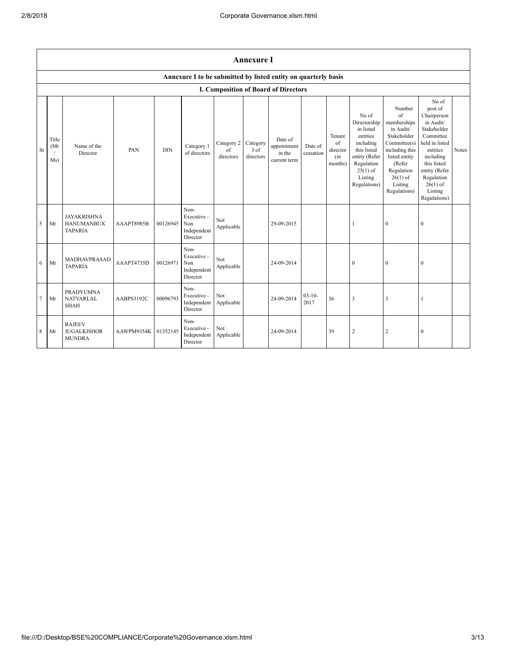|           | <b>Annexure I</b>   |                                                           |            |            |                                                                |                               |                                 |                                                  |                      |                                            |                                                                                                                                                    |                                                                                                                                                                                     |                                                                                                                                                                                                            |       |
|-----------|---------------------|-----------------------------------------------------------|------------|------------|----------------------------------------------------------------|-------------------------------|---------------------------------|--------------------------------------------------|----------------------|--------------------------------------------|----------------------------------------------------------------------------------------------------------------------------------------------------|-------------------------------------------------------------------------------------------------------------------------------------------------------------------------------------|------------------------------------------------------------------------------------------------------------------------------------------------------------------------------------------------------------|-------|
|           |                     |                                                           |            |            | Annexure I to be submitted by listed entity on quarterly basis |                               |                                 |                                                  |                      |                                            |                                                                                                                                                    |                                                                                                                                                                                     |                                                                                                                                                                                                            |       |
|           |                     |                                                           |            |            |                                                                |                               |                                 | I. Composition of Board of Directors             |                      |                                            |                                                                                                                                                    |                                                                                                                                                                                     |                                                                                                                                                                                                            |       |
| <b>Sr</b> | Title<br>(Mr<br>Ms) | Name of the<br>Director                                   | PAN        | <b>DIN</b> | Category 1<br>of directors                                     | Category 2<br>of<br>directors | Category<br>$3$ of<br>directors | Date of<br>appointment<br>in the<br>current term | Date of<br>cessation | Tenure<br>of<br>director<br>(in<br>months) | No of<br>Directorship<br>in listed<br>entities<br>including<br>this listed<br>entity (Refer<br>Regulation<br>$25(1)$ of<br>Listing<br>Regulations) | Number<br>$\sigma$ f<br>memberships<br>in Audit/<br>Stakeholder<br>Committee(s)<br>including this<br>listed entity<br>(Refer<br>Regulation<br>$26(1)$ of<br>Listing<br>Regulations) | No of<br>post of<br>Chairperson<br>in Audit/<br>Stakeholder<br>Committee<br>held in listed<br>entities<br>including<br>this listed<br>entity (Refer<br>Regulation<br>$26(1)$ of<br>Listing<br>Regulations) | Notes |
| 5         | Mr                  | <b>JAYAKRISHNA</b><br><b>HANUMANBUX</b><br><b>TAPARIA</b> | AAAPT8985B | 00126945   | Non-<br>Executive -<br>Non<br>Independent<br>Director          | Not<br>Applicable             |                                 | 29-09-2015                                       |                      |                                            | 1                                                                                                                                                  | $\mathbf{0}$                                                                                                                                                                        | $\boldsymbol{0}$                                                                                                                                                                                           |       |
| 6         | Mr                  | <b>MADHAVPRASAD</b><br><b>TAPARIA</b>                     | AAAPT4735D | 00126971   | Non-<br>Executive -<br>Non<br>Independent<br>Director          | Not<br>Applicable             |                                 | 24-09-2014                                       |                      |                                            | $\boldsymbol{0}$                                                                                                                                   | $\boldsymbol{0}$                                                                                                                                                                    | $\boldsymbol{0}$                                                                                                                                                                                           |       |
| 7         | Mr                  | <b>PRADYUMNA</b><br><b>NATVARLAL</b><br><b>SHAH</b>       | AABPS3192C | 00096793   | Non-<br>Executive -<br>Independent<br>Director                 | Not<br>Applicable             |                                 | 24-09-2014                                       | $03 - 10 -$<br>2017  | 36                                         | 3                                                                                                                                                  | 3                                                                                                                                                                                   | $\mathbf{1}$                                                                                                                                                                                               |       |
| 8         | Mr                  | <b>RAJEEV</b><br><b>JUGALKISHOR</b><br><b>MUNDRA</b>      | AAWPM9354K | 01352145   | Non-<br>Executive -<br>Independent<br>Director                 | Not<br>Applicable             |                                 | 24-09-2014                                       |                      | 39                                         | $\overline{2}$                                                                                                                                     | $\overline{c}$                                                                                                                                                                      | $\mathbf{0}$                                                                                                                                                                                               |       |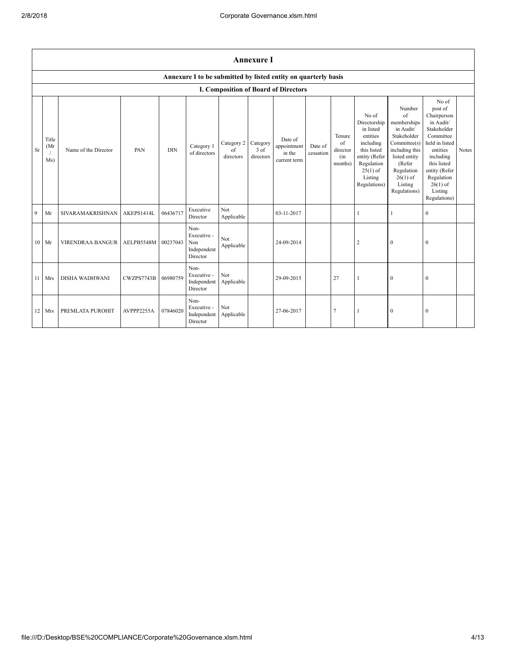|              |                      |                       |            |            |                                                                |                               | <b>Annexure I</b>               |                                                  |                      |                                            |                                                                                                                                                    |                                                                                                                                                                             |                                                                                                                                                                                                            |       |
|--------------|----------------------|-----------------------|------------|------------|----------------------------------------------------------------|-------------------------------|---------------------------------|--------------------------------------------------|----------------------|--------------------------------------------|----------------------------------------------------------------------------------------------------------------------------------------------------|-----------------------------------------------------------------------------------------------------------------------------------------------------------------------------|------------------------------------------------------------------------------------------------------------------------------------------------------------------------------------------------------------|-------|
|              |                      |                       |            |            | Annexure I to be submitted by listed entity on quarterly basis |                               |                                 |                                                  |                      |                                            |                                                                                                                                                    |                                                                                                                                                                             |                                                                                                                                                                                                            |       |
|              |                      |                       |            |            |                                                                |                               |                                 | I. Composition of Board of Directors             |                      |                                            |                                                                                                                                                    |                                                                                                                                                                             |                                                                                                                                                                                                            |       |
| Sr           | Title<br>(Mr)<br>Ms) | Name of the Director  | PAN        | <b>DIN</b> | Category 1<br>of directors                                     | Category 2<br>of<br>directors | Category<br>$3$ of<br>directors | Date of<br>appointment<br>in the<br>current term | Date of<br>cessation | Tenure<br>of<br>director<br>(in<br>months) | No of<br>Directorship<br>in listed<br>entities<br>including<br>this listed<br>entity (Refer<br>Regulation<br>$25(1)$ of<br>Listing<br>Regulations) | Number<br>of<br>memberships<br>in Audit/<br>Stakeholder<br>Committee(s)<br>including this<br>listed entity<br>(Refer<br>Regulation<br>$26(1)$ of<br>Listing<br>Regulations) | No of<br>post of<br>Chairperson<br>in Audit/<br>Stakeholder<br>Committee<br>held in listed<br>entities<br>including<br>this listed<br>entity (Refer<br>Regulation<br>$26(1)$ of<br>Listing<br>Regulations) | Notes |
| $\mathbf{Q}$ | Mr                   | SIVARAMAKRISHNAN      | AKEPS1414L | 06436717   | Executive<br>Director                                          | Not<br>Applicable             |                                 | 03-11-2017                                       |                      |                                            | 1                                                                                                                                                  | 1                                                                                                                                                                           | $\theta$                                                                                                                                                                                                   |       |
| 10           | Mr                   | VIRENDRAA BANGUR      | AELPB5548M | 00237043   | Non-<br>Executive -<br>Non<br>Independent<br>Director          | Not<br>Applicable             |                                 | 24-09-2014                                       |                      |                                            | $\overline{2}$                                                                                                                                     | $\mathbf{0}$                                                                                                                                                                | $\Omega$                                                                                                                                                                                                   |       |
| 11           | Mrs                  | <b>DISHA WADHWANI</b> | CWZPS7743B | 06980759   | Non-<br>Executive -<br>Independent<br>Director                 | Not<br>Applicable             |                                 | 29-09-2015                                       |                      | 27                                         | 1                                                                                                                                                  | $\boldsymbol{0}$                                                                                                                                                            | $\mathbf{0}$                                                                                                                                                                                               |       |
|              | 12 Mrs               | PREMLATA PUROHIT      | AVPPP2255A | 07846020   | Non-<br>Executive -<br>Independent<br>Director                 | Not<br>Applicable             |                                 | 27-06-2017                                       |                      | $\overline{7}$                             |                                                                                                                                                    | $\mathbf{0}$                                                                                                                                                                | $\theta$                                                                                                                                                                                                   |       |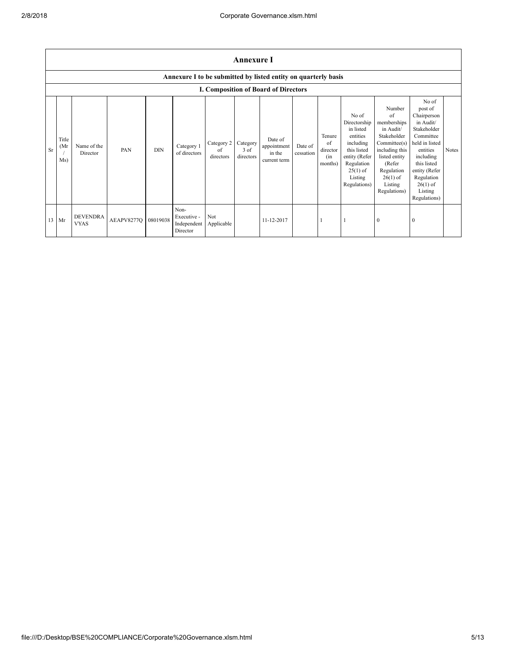|           | <b>Annexure I</b>   |                                |            |            |                                                |                               |                               |                                                                |                      |                                            |                                                                                                                                                    |                                                                                                                                                                                     |                                                                                                                                                                                                            |       |
|-----------|---------------------|--------------------------------|------------|------------|------------------------------------------------|-------------------------------|-------------------------------|----------------------------------------------------------------|----------------------|--------------------------------------------|----------------------------------------------------------------------------------------------------------------------------------------------------|-------------------------------------------------------------------------------------------------------------------------------------------------------------------------------------|------------------------------------------------------------------------------------------------------------------------------------------------------------------------------------------------------------|-------|
|           |                     |                                |            |            |                                                |                               |                               | Annexure I to be submitted by listed entity on quarterly basis |                      |                                            |                                                                                                                                                    |                                                                                                                                                                                     |                                                                                                                                                                                                            |       |
|           |                     |                                |            |            |                                                |                               |                               | I. Composition of Board of Directors                           |                      |                                            |                                                                                                                                                    |                                                                                                                                                                                     |                                                                                                                                                                                                            |       |
| <b>Sr</b> | Title<br>(Mr<br>Ms) | Name of the<br>Director        | PAN        | <b>DIN</b> | Category 1<br>of directors                     | Category 2<br>of<br>directors | Category<br>3 of<br>directors | Date of<br>appointment<br>in the<br>current term               | Date of<br>cessation | Tenure<br>of<br>director<br>(in<br>months) | No of<br>Directorship<br>in listed<br>entities<br>including<br>this listed<br>entity (Refer<br>Regulation<br>$25(1)$ of<br>Listing<br>Regulations) | Number<br>$\sigma$ f<br>memberships<br>in Audit/<br>Stakeholder<br>Committee(s)<br>including this<br>listed entity<br>(Refer<br>Regulation<br>$26(1)$ of<br>Listing<br>Regulations) | No of<br>post of<br>Chairperson<br>in Audit/<br>Stakeholder<br>Committee<br>held in listed<br>entities<br>including<br>this listed<br>entity (Refer<br>Regulation<br>$26(1)$ of<br>Listing<br>Regulations) | Notes |
|           | 13 Mr               | <b>DEVENDRA</b><br><b>VYAS</b> | AEAPV8277Q | 08019038   | Non-<br>Executive -<br>Independent<br>Director | Not<br>Applicable             |                               | 11-12-2017                                                     |                      |                                            |                                                                                                                                                    | $\mathbf{0}$                                                                                                                                                                        | $\mathbf{0}$                                                                                                                                                                                               |       |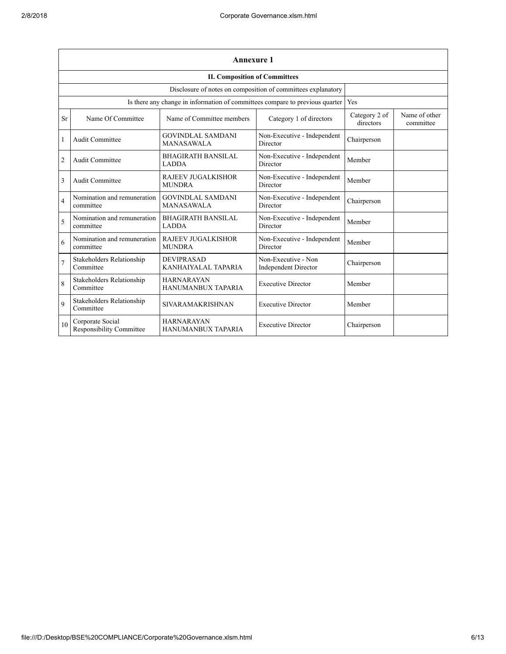|                | <b>Annexure 1</b>                                            |                                                                              |                                                    |                            |                            |  |  |  |  |
|----------------|--------------------------------------------------------------|------------------------------------------------------------------------------|----------------------------------------------------|----------------------------|----------------------------|--|--|--|--|
|                | <b>II. Composition of Committees</b>                         |                                                                              |                                                    |                            |                            |  |  |  |  |
|                | Disclosure of notes on composition of committees explanatory |                                                                              |                                                    |                            |                            |  |  |  |  |
|                |                                                              | Is there any change in information of committees compare to previous quarter |                                                    | Yes                        |                            |  |  |  |  |
| Sr             | Name Of Committee                                            | Name of Committee members                                                    | Category 1 of directors                            | Category 2 of<br>directors | Name of other<br>committee |  |  |  |  |
| $\mathbf{1}$   | Audit Committee                                              | <b>GOVINDLAL SAMDANI</b><br><b>MANASAWALA</b>                                | Non-Executive - Independent<br>Director            | Chairperson                |                            |  |  |  |  |
| $\overline{2}$ | Audit Committee                                              | <b>BHAGIRATH BANSILAL</b><br><b>LADDA</b>                                    | Non-Executive - Independent<br>Director            | Member                     |                            |  |  |  |  |
| 3              | Audit Committee                                              | <b>RAJEEV JUGALKISHOR</b><br><b>MUNDRA</b>                                   | Non-Executive - Independent<br>Director            | Member                     |                            |  |  |  |  |
| $\overline{4}$ | Nomination and remuneration<br>committee                     | <b>GOVINDLAL SAMDANI</b><br><b>MANASAWALA</b>                                | Non-Executive - Independent<br>Director            | Chairperson                |                            |  |  |  |  |
| 5              | Nomination and remuneration<br>committee                     | <b>BHAGIRATH BANSILAL</b><br><b>LADDA</b>                                    | Non-Executive - Independent<br>Director            | Member                     |                            |  |  |  |  |
| 6              | Nomination and remuneration<br>committee                     | <b>RAJEEV JUGALKISHOR</b><br><b>MUNDRA</b>                                   | Non-Executive - Independent<br>Director            | Member                     |                            |  |  |  |  |
| $\overline{7}$ | Stakeholders Relationship<br>Committee                       | <b>DEVIPRASAD</b><br>KANHAIYALAL TAPARIA                                     | Non-Executive - Non<br><b>Independent Director</b> | Chairperson                |                            |  |  |  |  |
| 8              | Stakeholders Relationship<br>Committee                       | <b>HARNARAYAN</b><br>HANUMANBUX TAPARIA                                      | <b>Executive Director</b>                          | Member                     |                            |  |  |  |  |
| 9              | Stakeholders Relationship<br>Committee                       | <b>SIVARAMAKRISHNAN</b>                                                      | <b>Executive Director</b>                          | Member                     |                            |  |  |  |  |
| 10             | Corporate Social<br>Responsibility Committee                 | <b>HARNARAYAN</b><br>HANUMANBUX TAPARIA                                      | <b>Executive Director</b>                          | Chairperson                |                            |  |  |  |  |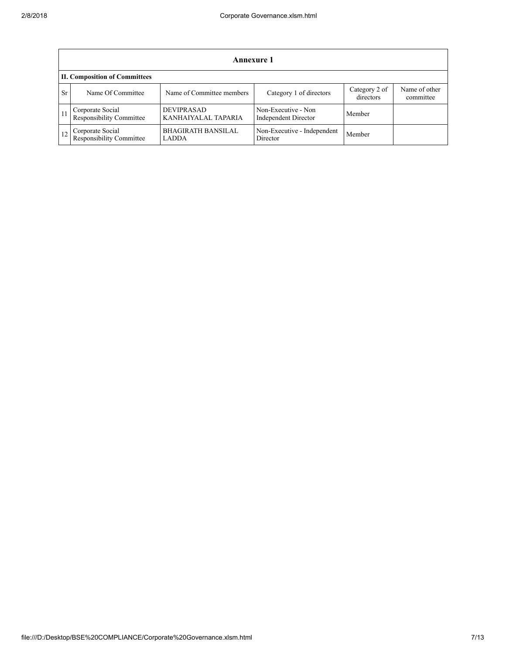|           | Annexure 1                                   |                                           |                                             |                            |                            |  |  |  |
|-----------|----------------------------------------------|-------------------------------------------|---------------------------------------------|----------------------------|----------------------------|--|--|--|
|           | <b>II. Composition of Committees</b>         |                                           |                                             |                            |                            |  |  |  |
| <b>Sr</b> | Name Of Committee                            | Name of Committee members                 | Category 1 of directors                     | Category 2 of<br>directors | Name of other<br>committee |  |  |  |
|           | Corporate Social<br>Responsibility Committee | <b>DEVIPRASAD</b><br>KANHAIYALAL TAPARIA  | Non-Executive - Non<br>Independent Director | Member                     |                            |  |  |  |
|           | Corporate Social<br>Responsibility Committee | <b>BHAGIRATH BANSILAL</b><br><b>LADDA</b> | Non-Executive - Independent<br>Director     | Member                     |                            |  |  |  |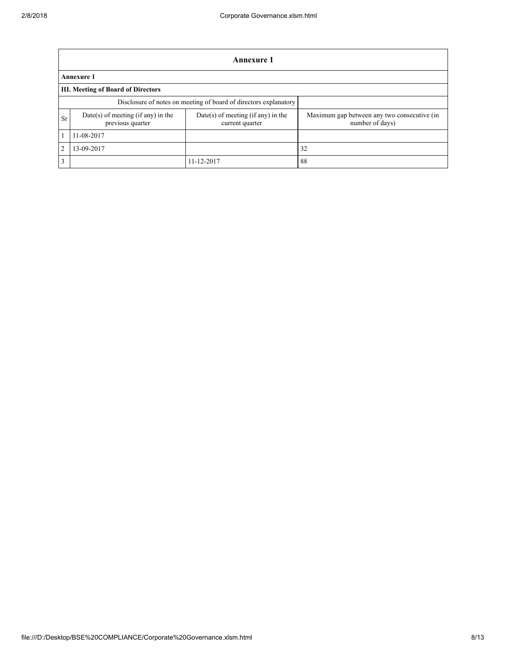|    | <b>Annexure 1</b>                                                |                                                         |                                                                |  |  |  |  |  |
|----|------------------------------------------------------------------|---------------------------------------------------------|----------------------------------------------------------------|--|--|--|--|--|
|    | <b>Annexure 1</b>                                                |                                                         |                                                                |  |  |  |  |  |
|    | <b>III. Meeting of Board of Directors</b>                        |                                                         |                                                                |  |  |  |  |  |
|    | Disclosure of notes on meeting of board of directors explanatory |                                                         |                                                                |  |  |  |  |  |
| Sr | $Date(s)$ of meeting (if any) in the<br>previous quarter         | $Date(s)$ of meeting (if any) in the<br>current quarter | Maximum gap between any two consecutive (in<br>number of days) |  |  |  |  |  |
|    | 11-08-2017                                                       |                                                         |                                                                |  |  |  |  |  |
| 2  | 13-09-2017                                                       |                                                         | 32                                                             |  |  |  |  |  |
| 3  |                                                                  | 11-12-2017                                              | 88                                                             |  |  |  |  |  |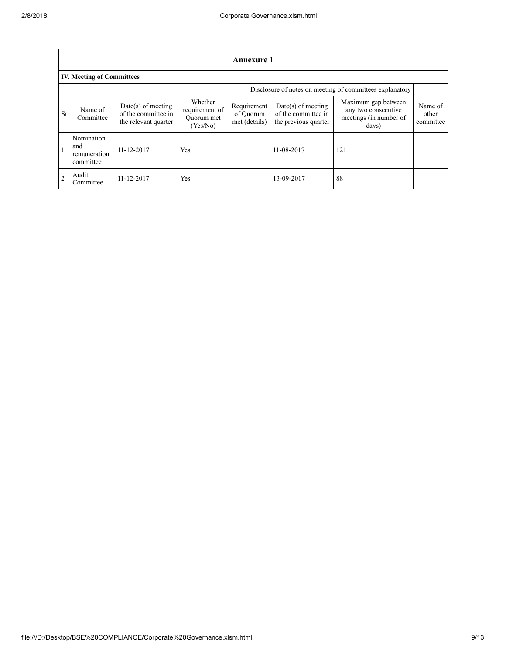| Annexure 1     |                                                          |                                                                     |                                                     |                                           |                                                                     |                                                                               |                               |  |  |  |
|----------------|----------------------------------------------------------|---------------------------------------------------------------------|-----------------------------------------------------|-------------------------------------------|---------------------------------------------------------------------|-------------------------------------------------------------------------------|-------------------------------|--|--|--|
|                | <b>IV. Meeting of Committees</b>                         |                                                                     |                                                     |                                           |                                                                     |                                                                               |                               |  |  |  |
|                | Disclosure of notes on meeting of committees explanatory |                                                                     |                                                     |                                           |                                                                     |                                                                               |                               |  |  |  |
| Sr             | Name of<br>Committee                                     | $Date(s)$ of meeting<br>of the committee in<br>the relevant quarter | Whether<br>requirement of<br>Quorum met<br>(Yes/No) | Requirement<br>of Quorum<br>met (details) | $Date(s)$ of meeting<br>of the committee in<br>the previous quarter | Maximum gap between<br>any two consecutive<br>meetings (in number of<br>days) | Name of<br>other<br>committee |  |  |  |
| $\mathbf{1}$   | Nomination<br>and<br>remuneration<br>committee           | 11-12-2017                                                          | Yes                                                 |                                           | 11-08-2017                                                          | 121                                                                           |                               |  |  |  |
| $\overline{2}$ | Audit<br>Committee                                       | 11-12-2017                                                          | Yes                                                 |                                           | 13-09-2017                                                          | 88                                                                            |                               |  |  |  |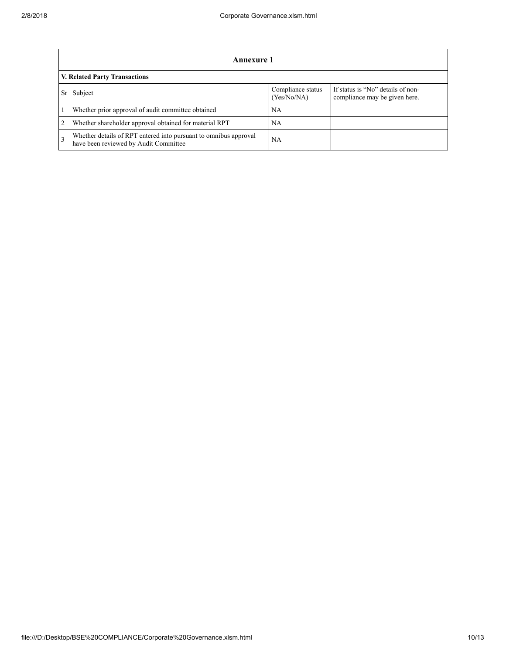|                | Annexure 1                                                                                                |                                  |                                                                    |  |  |  |  |  |
|----------------|-----------------------------------------------------------------------------------------------------------|----------------------------------|--------------------------------------------------------------------|--|--|--|--|--|
|                | V. Related Party Transactions                                                                             |                                  |                                                                    |  |  |  |  |  |
|                | Subject                                                                                                   | Compliance status<br>(Yes/No/NA) | If status is "No" details of non-<br>compliance may be given here. |  |  |  |  |  |
|                | Whether prior approval of audit committee obtained                                                        | NA                               |                                                                    |  |  |  |  |  |
| $\overline{2}$ | Whether shareholder approval obtained for material RPT                                                    | NA                               |                                                                    |  |  |  |  |  |
| $\overline{3}$ | Whether details of RPT entered into pursuant to omnibus approval<br>have been reviewed by Audit Committee | NA                               |                                                                    |  |  |  |  |  |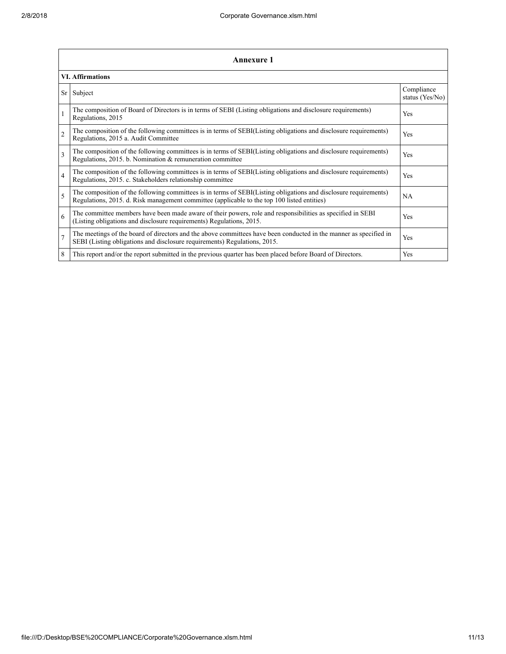|                | <b>Annexure 1</b>                                                                                                                                                                                               |                               |  |  |  |  |  |  |
|----------------|-----------------------------------------------------------------------------------------------------------------------------------------------------------------------------------------------------------------|-------------------------------|--|--|--|--|--|--|
|                | <b>VI. Affirmations</b>                                                                                                                                                                                         |                               |  |  |  |  |  |  |
| Sr             | Subject                                                                                                                                                                                                         | Compliance<br>status (Yes/No) |  |  |  |  |  |  |
|                | The composition of Board of Directors is in terms of SEBI (Listing obligations and disclosure requirements)<br>Regulations, 2015                                                                                | <b>Yes</b>                    |  |  |  |  |  |  |
| $\overline{c}$ | The composition of the following committees is in terms of SEBI(Listing obligations and disclosure requirements)<br>Regulations, 2015 a. Audit Committee                                                        | <b>Yes</b>                    |  |  |  |  |  |  |
| 3              | The composition of the following committees is in terms of SEBI(Listing obligations and disclosure requirements)<br>Regulations, 2015. b. Nomination & remuneration committee                                   | <b>Yes</b>                    |  |  |  |  |  |  |
| $\overline{4}$ | The composition of the following committees is in terms of SEBI(Listing obligations and disclosure requirements)<br>Regulations, 2015. c. Stakeholders relationship committee                                   | <b>Yes</b>                    |  |  |  |  |  |  |
| 5              | The composition of the following committees is in terms of SEBI(Listing obligations and disclosure requirements)<br>Regulations, 2015. d. Risk management committee (applicable to the top 100 listed entities) | NA.                           |  |  |  |  |  |  |
| 6              | The committee members have been made aware of their powers, role and responsibilities as specified in SEBI<br>(Listing obligations and disclosure requirements) Regulations, 2015.                              | <b>Yes</b>                    |  |  |  |  |  |  |
| $\overline{7}$ | The meetings of the board of directors and the above committees have been conducted in the manner as specified in<br>SEBI (Listing obligations and disclosure requirements) Regulations, 2015.                  | Yes                           |  |  |  |  |  |  |
| 8              | This report and/or the report submitted in the previous quarter has been placed before Board of Directors.                                                                                                      | <b>Yes</b>                    |  |  |  |  |  |  |